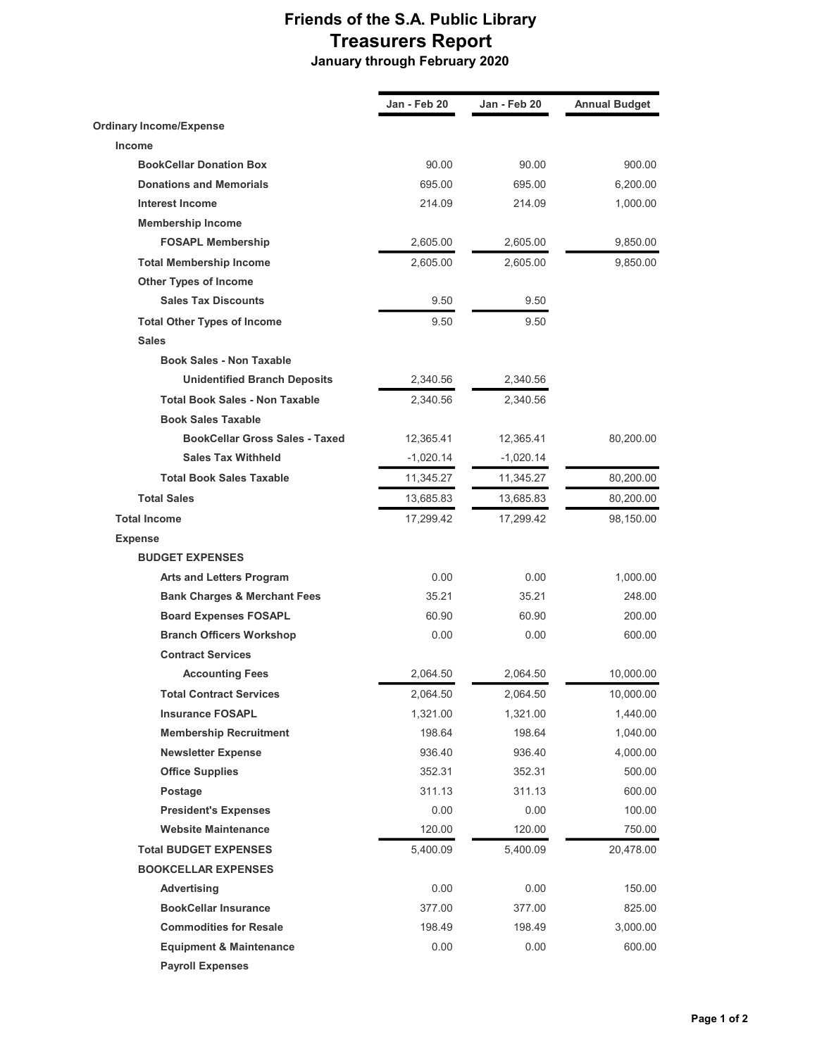## Friends of the S.A. Public Library Treasurers Report January through February 2020

Jan - Feb 20 Jan - Feb 20 Annual Budget Ordinary Income/Expense Income BookCellar Donation Box 90.00 90.00 900.00 **Donations and Memorials 19th 10 and 10 and 10 and 10 and 10 and 10 and 10 and 10 and 10 and 10 and 10 and 10 and 10 and 10 and 10 and 10 and 10 and 10 and 10 and 10 and 10 and 10 and 10 and 10 and 10 and 10 and 10 and 10** Interest Income 214.09 214.09 1,000.00 Membership Income FOSAPL Membership 2,605.00 2,605.00 9,850.00 Total Membership Income 2,605.00 2,605.00 9,850.00 Other Types of Income Sales Tax Discounts 60 9.50 9.50 Total Other Types of Income 8.50 9.50 9.50 **Sales** Book Sales - Non Taxable Unidentified Branch Deposits 2,340.56 2,340.56 Total Book Sales - Non Taxable 2,340.56 2,340.56 Book Sales Taxable **BookCellar Gross Sales - Taxed 12,365.41** 12,365.41 80,200.00 Sales Tax Withheld -1,020.14 -1,020.14 Total Book Sales Taxable 11,345.27 11,345.27 80,200.00 Total Sales 13,685.83 13,685.83 80,200.00 **Total Income** 17,299.42 17,299.42 98,150.00 Expense BUDGET EXPENSES Arts and Letters Program  $0.00$  0.00 0.00 1,000.00 Bank Charges & Merchant Fees 35.21 35.21 248.00 Board Expenses FOSAPL 60.90 60.90 60.90 60.90 60.90 60.90 60.90 60.90 60.90 60.90  $\pm 0.90$ Branch Officers Workshop  $0.00$  0.00 0.00 600.00 Contract Services Accounting Fees 2,064.50 2,064.50 10,000.00 Total Contract Services 2,064.50 2,064.50 10,000.00 **Insurance FOSAPL 1,321.00** 1,321.00 1,440.00 **Membership Recruitment** 198.64 198.64 198.64 1,040.00 Newsletter Expense 936.40 936.40 4,000.00 **Office Supplies 352.31** 352.31 352.31 500.00 Postage 311.13 311.13 600.00 President's Expenses and the control of the control of the control of the control of the control of the control of the control of the control of the control of the control of the control of the control of the control of th **Website Maintenance** 120.00 120.00 120.00 750.00 Total BUDGET EXPENSES 5,400.09 5,400.09 20,478.00 BOOKCELLAR EXPENSES Advertising 150.00 0.00 0.00 0.00 150.00 BookCellar Insurance 377.00 377.00 825.00 **Commodities for Resale 198.49** 198.49 198.49 198.49 3,000.00 **Equipment & Maintenance** 0.00 0.00 0.00 600.00 Payroll Expenses